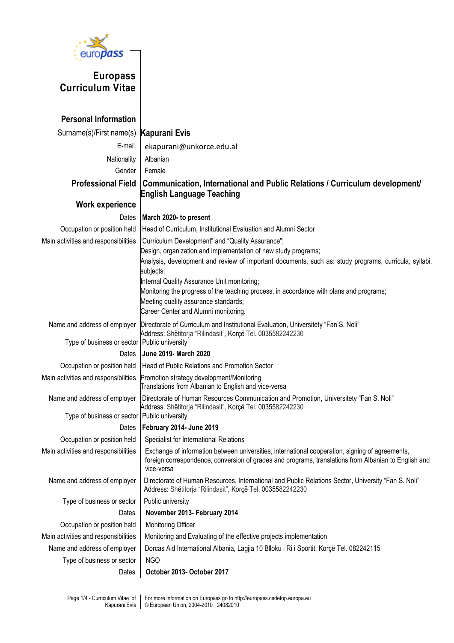

## **Europass Curriculum Vitae**

| <b>Personal Information</b>                    |                                                                                                                                                                                                                      |
|------------------------------------------------|----------------------------------------------------------------------------------------------------------------------------------------------------------------------------------------------------------------------|
| Surname(s)/First name(s) Kapurani Evis         |                                                                                                                                                                                                                      |
| E-mail                                         | ekapurani@unkorce.edu.al                                                                                                                                                                                             |
| Nationality                                    | Albanian                                                                                                                                                                                                             |
| Gender                                         | Female                                                                                                                                                                                                               |
| <b>Professional Field</b>                      | Communication, International and Public Relations / Curriculum development/                                                                                                                                          |
|                                                | <b>English Language Teaching</b>                                                                                                                                                                                     |
| <b>Work experience</b>                         |                                                                                                                                                                                                                      |
| Dates                                          | March 2020- to present                                                                                                                                                                                               |
| Occupation or position held                    | Head of Curriculum, Institutional Evaluation and Alumni Sector                                                                                                                                                       |
| Main activities and responsibilities           | "Curriculum Development" and "Quality Assurance";                                                                                                                                                                    |
|                                                | Design, organization and implementation of new study programs;                                                                                                                                                       |
|                                                | Analysis, development and review of important documents, such as: study programs, curricula, syllabi,                                                                                                                |
|                                                | subjects;<br>Internal Quality Assurance Unit monitoring;                                                                                                                                                             |
|                                                | Monitoring the progress of the teaching process, in accordance with plans and programs;                                                                                                                              |
|                                                | Meeting quality assurance standards;                                                                                                                                                                                 |
|                                                | Career Center and Alumni monitoring.                                                                                                                                                                                 |
| Name and address of employer                   | Directorate of Curriculum and Institutional Evaluation, Universitety "Fan S. Noli"                                                                                                                                   |
| Type of business or sector   Public university | Address: Shëtitorja "Rilindasit", Korçë Tel. 0035582242230                                                                                                                                                           |
| Dates                                          | <b>June 2019- March 2020</b>                                                                                                                                                                                         |
| Occupation or position held                    | <b>Head of Public Relations and Promotion Sector</b>                                                                                                                                                                 |
| Main activities and responsibilities           | Promotion strategy development/Monitoring                                                                                                                                                                            |
|                                                | Translations from Albanian to English and vice-versa                                                                                                                                                                 |
| Name and address of employer                   | Directorate of Human Resources Communication and Promotion, Universitety "Fan S. Noli"                                                                                                                               |
| Type of business or sector   Public university | Address: Shëtitorja "Rilindasit", Korçë Tel. 0035582242230                                                                                                                                                           |
| Dates                                          | February 2014- June 2019                                                                                                                                                                                             |
| Occupation or position held                    | Specialist for International Relations                                                                                                                                                                               |
| Main activities and responsibilities           | Exchange of information between universities, international cooperation, signing of agreements<br>foreign correspondence, conversion of grades and programs, translations from Albanian to English and<br>vice-versa |
| Name and address of employer                   | Directorate of Human Resources, International and Public Relations Sector, University "Fan S. Noli"<br>Address: Shëtitorja "Rilindasit", Korçë Tel. 0035582242230                                                    |
| Type of business or sector                     | Public university                                                                                                                                                                                                    |
| Dates                                          | November 2013- February 2014                                                                                                                                                                                         |
| Occupation or position held                    | Monitoring Officer                                                                                                                                                                                                   |
| Main activities and responsibilities           | Monitoring and Evaluating of the effective projects implementation                                                                                                                                                   |
| Name and address of employer                   | Dorcas Aid International Albania, Lagjia 10 Blloku i Ri i Sportit, Korçë Tel. 082242115                                                                                                                              |
|                                                |                                                                                                                                                                                                                      |
| Type of business or sector                     | <b>NGO</b>                                                                                                                                                                                                           |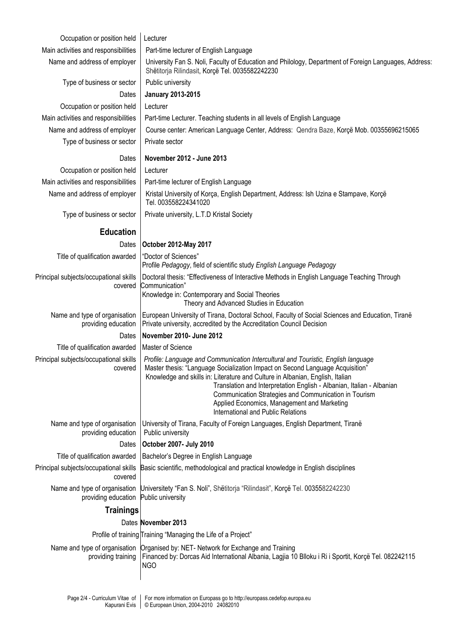| Occupation or position held                          | Lecturer                                                                                                                                                                                                                                                                                                                                                                                                                                                                   |
|------------------------------------------------------|----------------------------------------------------------------------------------------------------------------------------------------------------------------------------------------------------------------------------------------------------------------------------------------------------------------------------------------------------------------------------------------------------------------------------------------------------------------------------|
| Main activities and responsibilities                 | Part-time lecturer of English Language                                                                                                                                                                                                                                                                                                                                                                                                                                     |
| Name and address of employer                         | University Fan S. Noli, Faculty of Education and Philology, Department of Foreign Languages, Address:<br>Shëtitorja Rilindasit, Korçë Tel. 0035582242230                                                                                                                                                                                                                                                                                                                   |
| Type of business or sector                           | Public university                                                                                                                                                                                                                                                                                                                                                                                                                                                          |
| Dates                                                | <b>January 2013-2015</b>                                                                                                                                                                                                                                                                                                                                                                                                                                                   |
| Occupation or position held                          | Lecturer                                                                                                                                                                                                                                                                                                                                                                                                                                                                   |
| Main activities and responsibilities                 | Part-time Lecturer. Teaching students in all levels of English Language                                                                                                                                                                                                                                                                                                                                                                                                    |
| Name and address of employer                         | Course center: American Language Center, Address: Qendra Baze, Korçë Mob. 00355696215065                                                                                                                                                                                                                                                                                                                                                                                   |
| Type of business or sector                           | Private sector                                                                                                                                                                                                                                                                                                                                                                                                                                                             |
| Dates                                                | November 2012 - June 2013                                                                                                                                                                                                                                                                                                                                                                                                                                                  |
| Occupation or position held                          | Lecturer                                                                                                                                                                                                                                                                                                                                                                                                                                                                   |
| Main activities and responsibilities                 | Part-time lecturer of English Language                                                                                                                                                                                                                                                                                                                                                                                                                                     |
| Name and address of employer                         | Kristal University of Korça, English Department, Address: Ish Uzina e Stampave, Korçë<br>Tel. 003558224341020                                                                                                                                                                                                                                                                                                                                                              |
| Type of business or sector                           | Private university, L.T.D Kristal Society                                                                                                                                                                                                                                                                                                                                                                                                                                  |
| <b>Education</b>                                     |                                                                                                                                                                                                                                                                                                                                                                                                                                                                            |
| Dates                                                | <b>October 2012-May 2017</b>                                                                                                                                                                                                                                                                                                                                                                                                                                               |
| Title of qualification awarded                       | "Doctor of Sciences"<br>Profile Pedagogy, field of scientific study English Language Pedagogy                                                                                                                                                                                                                                                                                                                                                                              |
| Principal subjects/occupational skills<br>covered    | Doctoral thesis: "Effectiveness of Interactive Methods in English Language Teaching Through<br>Communication"<br>Knowledge in: Contemporary and Social Theories<br>Theory and Advanced Studies in Education                                                                                                                                                                                                                                                                |
| Name and type of organisation<br>providing education | European University of Tirana, Doctoral School, Faculty of Social Sciences and Education, Tiranë<br>Private university, accredited by the Accreditation Council Decision                                                                                                                                                                                                                                                                                                   |
| Dates                                                | November 2010- June 2012                                                                                                                                                                                                                                                                                                                                                                                                                                                   |
| Title of qualification awarded                       | Master of Science                                                                                                                                                                                                                                                                                                                                                                                                                                                          |
| Principal subjects/occupational skills<br>covered    | Profile: Language and Communication Intercultural and Touristic, English language<br>Master thesis: "Language Socialization Impact on Second Language Acquisition"<br>Knowledge and skills in: Literature and Culture in Albanian, English, Italian<br>Translation and Interpretation English - Albanian, Italian - Albanian<br>Communication Strategies and Communication in Tourism<br>Applied Economics, Management and Marketing<br>International and Public Relations |
| Name and type of organisation<br>providing education | University of Tirana, Faculty of Foreign Languages, English Department, Tiranë<br>Public university                                                                                                                                                                                                                                                                                                                                                                        |
| Dates                                                | October 2007- July 2010                                                                                                                                                                                                                                                                                                                                                                                                                                                    |
| Title of qualification awarded                       | Bachelor's Degree in English Language                                                                                                                                                                                                                                                                                                                                                                                                                                      |
| Principal subjects/occupational skills<br>covered    | Basic scientific, methodological and practical knowledge in English disciplines                                                                                                                                                                                                                                                                                                                                                                                            |
| Name and type of organisation<br>providing education | Universitety "Fan S. Noli", Shëtitorja "Rilindasit", Korçë Tel. 0035582242230<br>Public university                                                                                                                                                                                                                                                                                                                                                                         |
| <b>Trainings</b>                                     |                                                                                                                                                                                                                                                                                                                                                                                                                                                                            |
|                                                      | Dates November 2013                                                                                                                                                                                                                                                                                                                                                                                                                                                        |
|                                                      | Profile of training Training "Managing the Life of a Project"                                                                                                                                                                                                                                                                                                                                                                                                              |
|                                                      | Name and type of organisation   Organised by: NET- Network for Exchange and Training                                                                                                                                                                                                                                                                                                                                                                                       |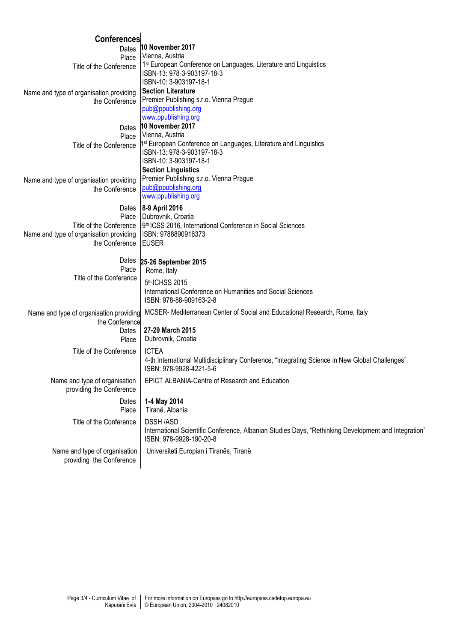| <b>Conferences</b>                      |                                                                                                      |
|-----------------------------------------|------------------------------------------------------------------------------------------------------|
| Dates                                   | 10 November 2017                                                                                     |
| Place                                   | Vienna, Austria                                                                                      |
| Title of the Conference                 | 1 <sup>st</sup> European Conference on Languages, Literature and Linguistics                         |
|                                         | ISBN-13: 978-3-903197-18-3                                                                           |
|                                         | ISBN-10: 3-903197-18-1                                                                               |
| Name and type of organisation providing | <b>Section Literature</b>                                                                            |
| the Conference                          | Premier Publishing s.r.o. Vienna Prague                                                              |
|                                         | pub@ppublishing.org                                                                                  |
|                                         | www.ppublishing.org<br>10 November 2017                                                              |
| Dates                                   | Vienna, Austria                                                                                      |
| Place                                   | 1 <sup>st</sup> European Conference on Languages, Literature and Linguistics                         |
| Title of the Conference                 | ISBN-13: 978-3-903197-18-3                                                                           |
|                                         | ISBN-10: 3-903197-18-1                                                                               |
|                                         | <b>Section Linguistics</b>                                                                           |
| Name and type of organisation providing | Premier Publishing s.r.o. Vienna Prague                                                              |
| the Conference                          | pub@ppublishing.org                                                                                  |
|                                         | www.ppublishing.org                                                                                  |
|                                         | Dates 8-9 April 2016                                                                                 |
| Place                                   | Dubrovnik, Croatia                                                                                   |
| Title of the Conference                 | 9 <sup>th</sup> ICSS 2016, International Conference in Social Sciences                               |
| Name and type of organisation providing | ISBN: 9788890916373                                                                                  |
| the Conference                          | <b>EUSER</b>                                                                                         |
|                                         |                                                                                                      |
| Dates                                   | 25-26 September 2015                                                                                 |
| Place<br>Title of the Conference        | Rome, Italy                                                                                          |
|                                         | 5 <sup>th</sup> ICHSS 2015                                                                           |
|                                         | International Conference on Humanities and Social Sciences                                           |
|                                         | ISBN: 978-88-909163-2-8                                                                              |
| Name and type of organisation providing | MCSER- Mediterranean Center of Social and Educational Research, Rome, Italy                          |
| the Conference                          |                                                                                                      |
| Dates                                   | 27-29 March 2015                                                                                     |
| Place                                   | Dubrovnik, Croatia                                                                                   |
| Title of the Conference                 | <b>ICTEA</b>                                                                                         |
|                                         | 4-th International Multidisciplinary Conference, "Integrating Science in New Global Challenges"      |
|                                         | ISBN: 978-9928-4221-5-6                                                                              |
| Name and type of organisation           | EPICT ALBANIA-Centre of Research and Education                                                       |
| providing the Conference                |                                                                                                      |
| Dates                                   | 1-4 May 2014                                                                                         |
| Place                                   | Tiranë, Albania                                                                                      |
| Title of the Conference                 | <b>DSSH/ASD</b>                                                                                      |
|                                         | International Scientific Conference, Albanian Studies Days, "Rethinking Development and Integration" |
|                                         | ISBN: 978-9928-190-20-8                                                                              |
|                                         |                                                                                                      |
| Name and type of organisation           | Universiteti Europian i Tiranës, Tiranë                                                              |
| providing the Conference                |                                                                                                      |